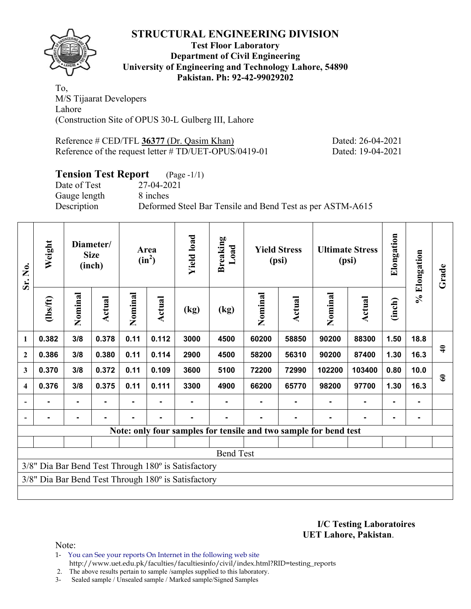

#### **Test Floor Laboratory Department of Civil Engineering University of Engineering and Technology Lahore, 54890 Pakistan. Ph: 92-42-99029202**

To, M/S Tijaarat Developers Lahore (Construction Site of OPUS 30-L Gulberg III, Lahore

Reference # CED/TFL 36377 (Dr. Qasim Khan) Dated: 26-04-2021 Reference of the request letter # TD/UET-OPUS/0419-01 Dated: 19-04-2021

## **Tension Test Report** (Page -1/1)

Date of Test 27-04-2021 Gauge length 8 inches

Description Deformed Steel Bar Tensile and Bend Test as per ASTM-A615

| Sr. No.                  | Weight   |                | Diameter/<br><b>Size</b><br>(inch) |         | Area<br>$(in^2)$ | <b>Yield load</b>                                   | <b>Breaking</b><br>Load                                          |         | <b>Yield Stress</b><br>(psi) |         | <b>Ultimate Stress</b><br>(psi) | Elongation | % Elongation | Grade         |
|--------------------------|----------|----------------|------------------------------------|---------|------------------|-----------------------------------------------------|------------------------------------------------------------------|---------|------------------------------|---------|---------------------------------|------------|--------------|---------------|
|                          | (1bs/ft) | Nominal        | Actual                             | Nominal | Actual           | (kg)                                                | (kg)                                                             | Nominal | Actual                       | Nominal | Actual                          | (inch)     |              |               |
| $\mathbf{1}$             | 0.382    | 3/8            | 0.378                              | 0.11    | 0.112            | 3000                                                | 4500                                                             | 60200   | 58850                        | 90200   | 88300                           | 1.50       | 18.8         |               |
| $\mathbf{2}$             | 0.386    | 3/8            | 0.380                              | 0.11    | 0.114            | 2900                                                | 4500                                                             | 58200   | 56310                        | 90200   | 87400                           | 1.30       | 16.3         | $\frac{6}{4}$ |
| 3                        | 0.370    | 3/8            | 0.372                              | 0.11    | 0.109            | 3600                                                | 5100                                                             | 72200   | 72990                        | 102200  | 103400                          | 0.80       | 10.0         | $\mathbf{60}$ |
| $\boldsymbol{4}$         | 0.376    | 3/8            | 0.375                              | 0.11    | 0.111            | 3300                                                | 4900                                                             | 66200   | 65770                        | 98200   | 97700                           | 1.30       | 16.3         |               |
| $\blacksquare$           |          | ۰              |                                    |         |                  |                                                     |                                                                  |         |                              |         |                                 |            |              |               |
| $\overline{\phantom{a}}$ |          | $\blacksquare$ |                                    |         |                  |                                                     |                                                                  |         |                              |         |                                 |            |              |               |
|                          |          |                |                                    |         |                  |                                                     | Note: only four samples for tensile and two sample for bend test |         |                              |         |                                 |            |              |               |
|                          |          |                |                                    |         |                  |                                                     |                                                                  |         |                              |         |                                 |            |              |               |
|                          |          |                |                                    |         |                  |                                                     | <b>Bend Test</b>                                                 |         |                              |         |                                 |            |              |               |
|                          |          |                |                                    |         |                  | 3/8" Dia Bar Bend Test Through 180° is Satisfactory |                                                                  |         |                              |         |                                 |            |              |               |
|                          |          |                |                                    |         |                  | 3/8" Dia Bar Bend Test Through 180° is Satisfactory |                                                                  |         |                              |         |                                 |            |              |               |
|                          |          |                |                                    |         |                  |                                                     |                                                                  |         |                              |         |                                 |            |              |               |

**I/C Testing Laboratoires UET Lahore, Pakistan**.

Note:

1- You can See your reports On Internet in the following web site http://www.uet.edu.pk/faculties/facultiesinfo/civil/index.html?RID=testing\_reports

2. The above results pertain to sample /samples supplied to this laboratory.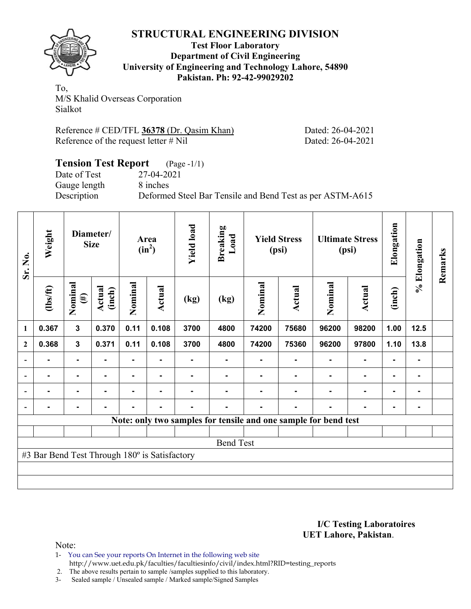

#### **Test Floor Laboratory Department of Civil Engineering University of Engineering and Technology Lahore, 54890 Pakistan. Ph: 92-42-99029202**

To, M/S Khalid Overseas Corporation Sialkot

| Reference # CED/TFL 36378 (Dr. Qasim Khan) |  |  |
|--------------------------------------------|--|--|
| Reference of the request letter $\#$ Nil   |  |  |

Dated: 26-04-2021 Dated: 26-04-2021

## **Tension Test Report** (Page -1/1) Date of Test 27-04-2021 Gauge length 8 inches Description Deformed Steel Bar Tensile and Bend Test as per ASTM-A615

| Sr. No.        | Weight                                        |                   | Diameter/<br><b>Size</b> |         | Area<br>$(in^2)$ | <b>Yield load</b> | <b>Breaking</b><br>Load |         | <b>Yield Stress</b><br>(psi)                                    |         | <b>Ultimate Stress</b><br>(psi) | Elongation | % Elongation   | Remarks |
|----------------|-----------------------------------------------|-------------------|--------------------------|---------|------------------|-------------------|-------------------------|---------|-----------------------------------------------------------------|---------|---------------------------------|------------|----------------|---------|
|                | $\frac{2}{10}$                                | Nominal<br>$(\#)$ | Actual<br>(inch)         | Nominal | <b>Actual</b>    | (kg)              | (kg)                    | Nominal | <b>Actual</b>                                                   | Nominal | Actual                          | (inch)     |                |         |
| 1              | 0.367                                         | $\mathbf{3}$      | 0.370                    | 0.11    | 0.108            | 3700              | 4800                    | 74200   | 75680                                                           | 96200   | 98200                           | 1.00       | 12.5           |         |
| $\mathbf{2}$   | 0.368                                         | 3                 | 0.371                    | 0.11    | 0.108            | 3700              | 4800                    | 74200   | 75360                                                           | 96200   | 97800                           | 1.10       | 13.8           |         |
|                |                                               | ۰                 |                          | ۰       |                  |                   | ٠                       |         |                                                                 |         | $\blacksquare$                  |            | ٠              |         |
| $\overline{a}$ |                                               | $\blacksquare$    |                          |         | -                |                   |                         |         |                                                                 |         |                                 |            | $\blacksquare$ |         |
| $\overline{a}$ |                                               | $\blacksquare$    |                          |         |                  |                   |                         |         |                                                                 |         |                                 |            | ۰              |         |
| $\overline{a}$ |                                               | $\blacksquare$    |                          |         |                  |                   |                         |         |                                                                 |         |                                 |            | $\blacksquare$ |         |
|                |                                               |                   |                          |         |                  |                   |                         |         | Note: only two samples for tensile and one sample for bend test |         |                                 |            |                |         |
|                |                                               |                   |                          |         |                  |                   |                         |         |                                                                 |         |                                 |            |                |         |
|                |                                               |                   |                          |         |                  |                   | <b>Bend Test</b>        |         |                                                                 |         |                                 |            |                |         |
|                | #3 Bar Bend Test Through 180° is Satisfactory |                   |                          |         |                  |                   |                         |         |                                                                 |         |                                 |            |                |         |
|                |                                               |                   |                          |         |                  |                   |                         |         |                                                                 |         |                                 |            |                |         |
|                |                                               |                   |                          |         |                  |                   |                         |         |                                                                 |         |                                 |            |                |         |

#### **I/C Testing Laboratoires UET Lahore, Pakistan**.

Note:

1- You can See your reports On Internet in the following web site http://www.uet.edu.pk/faculties/facultiesinfo/civil/index.html?RID=testing\_reports

2. The above results pertain to sample /samples supplied to this laboratory.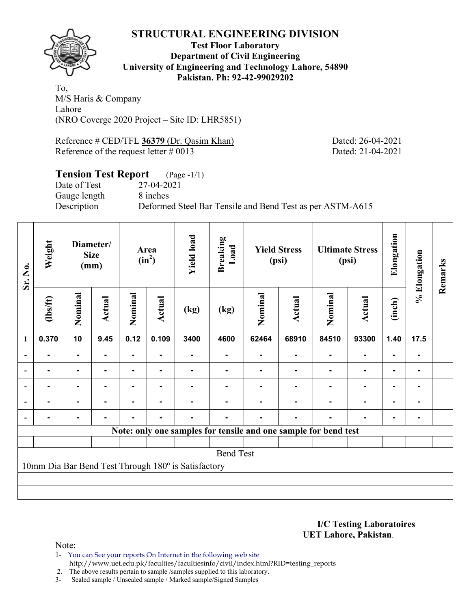

**Test Floor Laboratory Department of Civil Engineering University of Engineering and Technology Lahore, 54890 Pakistan. Ph: 92-42-99029202** 

To, M/S Haris & Company Lahore (NRO Coverge 2020 Project – Site ID: LHR5851)

Reference # CED/TFL 36379 (Dr. Qasim Khan) Dated: 26-04-2021 Reference of the request letter # 0013 Dated: 21-04-2021

#### **Tension Test Report** (Page -1/1) Date of Test 27-04-2021 Gauge length 8 inches Description Deformed Steel Bar Tensile and Bend Test as per ASTM-A615

| Sr. No.        | Weight   |                | Diameter/<br><b>Size</b><br>(mm) |         | Area<br>$(in^2)$ | <b>Yield load</b>                                   | <b>Breaking</b><br>Load                                         |         | <b>Yield Stress</b><br>(psi) |                | <b>Ultimate Stress</b><br>(psi) |                | % Elongation | Remarks |
|----------------|----------|----------------|----------------------------------|---------|------------------|-----------------------------------------------------|-----------------------------------------------------------------|---------|------------------------------|----------------|---------------------------------|----------------|--------------|---------|
|                | (1bs/ft) | Nominal        | Actual                           | Nominal | Actual           | (kg)                                                | (kg)                                                            | Nominal | Actual                       | Nominal        | <b>Actual</b>                   | (inch)         |              |         |
| $\mathbf{1}$   | 0.370    | 10             | 9.45                             | 0.12    | 0.109            | 3400                                                | 4600                                                            | 62464   | 68910                        | 84510          | 93300                           | 1.40           | 17.5         |         |
|                |          | $\blacksquare$ |                                  |         |                  |                                                     |                                                                 |         |                              |                |                                 | $\blacksquare$ |              |         |
|                |          | $\blacksquare$ |                                  |         |                  |                                                     |                                                                 |         |                              |                | $\blacksquare$                  | ۰              |              |         |
| $\blacksquare$ |          | ۰              |                                  |         |                  |                                                     |                                                                 |         |                              |                | $\blacksquare$                  | $\blacksquare$ | -            |         |
|                | ۰        | ۰              | -                                | ٠       | ٠                |                                                     |                                                                 |         |                              | $\blacksquare$ | $\blacksquare$                  | ۰              | ۰            |         |
|                |          | ٠              |                                  |         | ٠                |                                                     |                                                                 |         |                              |                | $\blacksquare$                  | $\blacksquare$ | -            |         |
|                |          |                |                                  |         |                  |                                                     | Note: only one samples for tensile and one sample for bend test |         |                              |                |                                 |                |              |         |
|                |          |                |                                  |         |                  |                                                     |                                                                 |         |                              |                |                                 |                |              |         |
|                |          |                |                                  |         |                  |                                                     | <b>Bend Test</b>                                                |         |                              |                |                                 |                |              |         |
|                |          |                |                                  |         |                  | 10mm Dia Bar Bend Test Through 180° is Satisfactory |                                                                 |         |                              |                |                                 |                |              |         |
|                |          |                |                                  |         |                  |                                                     |                                                                 |         |                              |                |                                 |                |              |         |
|                |          |                |                                  |         |                  |                                                     |                                                                 |         |                              |                |                                 |                |              |         |

**I/C Testing Laboratoires UET Lahore, Pakistan**.

- 1- You can See your reports On Internet in the following web site http://www.uet.edu.pk/faculties/facultiesinfo/civil/index.html?RID=testing\_reports
- 2. The above results pertain to sample /samples supplied to this laboratory.
- 3- Sealed sample / Unsealed sample / Marked sample/Signed Samples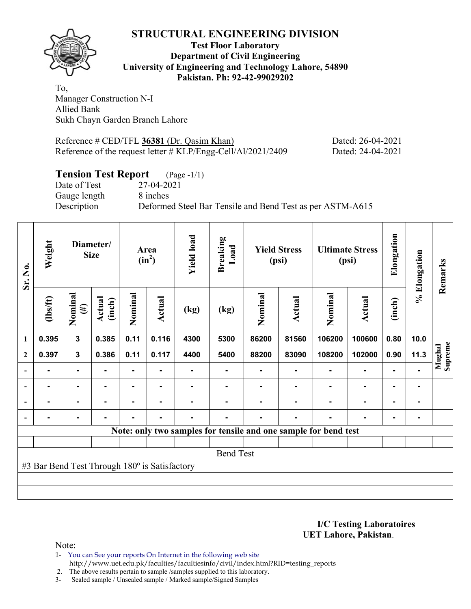

**Test Floor Laboratory Department of Civil Engineering University of Engineering and Technology Lahore, 54890 Pakistan. Ph: 92-42-99029202** 

To, Manager Construction N-I Allied Bank Sukh Chayn Garden Branch Lahore

Reference # CED/TFL 36381 (Dr. Qasim Khan) Dated: 26-04-2021 Reference of the request letter # KLP/Engg-Cell/Al/2021/2409 Dated: 24-04-2021

## **Tension Test Report** (Page -1/1)

Gauge length 8 inches

Date of Test 27-04-2021 Description Deformed Steel Bar Tensile and Bend Test as per ASTM-A615

| Sr. No.          | Weight                                        |                   | Diameter/<br><b>Size</b> |                | Area<br>$(in^2)$ | <b>Yield load</b> | <b>Breaking</b><br>Load |         | <b>Yield Stress</b><br>(psi) |                                                                 | <b>Ultimate Stress</b><br>(psi) | Elongation     | % Elongation | Remarks           |
|------------------|-----------------------------------------------|-------------------|--------------------------|----------------|------------------|-------------------|-------------------------|---------|------------------------------|-----------------------------------------------------------------|---------------------------------|----------------|--------------|-------------------|
|                  | $\frac{2}{10}$                                | Nominal<br>$(\#)$ | Actual<br>(inch)         | Nominal        | Actual           | (kg)              | (kg)                    | Nominal | Actual                       | Nominal                                                         | Actual                          | (inch)         |              |                   |
| $\mathbf{1}$     | 0.395                                         | $\mathbf{3}$      | 0.385                    | 0.11           | 0.116            | 4300              | 5300                    | 86200   | 81560                        | 106200                                                          | 100600                          | 0.80           | 10.0         |                   |
| $\boldsymbol{2}$ | 0.397                                         | $\mathbf{3}$      | 0.386                    | 0.11           | 0.117            | 4400              | 5400                    | 88200   | 83090                        | 108200                                                          | 102000                          | 0.90           | 11.3         | Supreme<br>Mughal |
| $\overline{a}$   |                                               | $\blacksquare$    |                          |                |                  |                   |                         |         |                              |                                                                 | ۰                               | ٠              |              |                   |
| $\blacksquare$   | $\blacksquare$                                | $\blacksquare$    | $\blacksquare$           |                |                  |                   |                         |         |                              |                                                                 | ٠                               | $\blacksquare$ |              |                   |
|                  | $\blacksquare$                                | $\blacksquare$    | ۰.                       | Ξ.             | $\blacksquare$   |                   |                         |         |                              | $\blacksquare$                                                  | ٠                               | $\blacksquare$ |              |                   |
|                  |                                               | $\blacksquare$    | $\blacksquare$           | $\blacksquare$ | $\blacksquare$   |                   |                         |         |                              |                                                                 | ٠                               | $\blacksquare$ |              |                   |
|                  |                                               |                   |                          |                |                  |                   |                         |         |                              | Note: only two samples for tensile and one sample for bend test |                                 |                |              |                   |
|                  |                                               |                   |                          |                |                  |                   |                         |         |                              |                                                                 |                                 |                |              |                   |
|                  |                                               |                   |                          |                |                  |                   | <b>Bend Test</b>        |         |                              |                                                                 |                                 |                |              |                   |
|                  | #3 Bar Bend Test Through 180° is Satisfactory |                   |                          |                |                  |                   |                         |         |                              |                                                                 |                                 |                |              |                   |
|                  |                                               |                   |                          |                |                  |                   |                         |         |                              |                                                                 |                                 |                |              |                   |
|                  |                                               |                   |                          |                |                  |                   |                         |         |                              |                                                                 |                                 |                |              |                   |

**I/C Testing Laboratoires UET Lahore, Pakistan**.

Note:

1- You can See your reports On Internet in the following web site http://www.uet.edu.pk/faculties/facultiesinfo/civil/index.html?RID=testing\_reports

2. The above results pertain to sample /samples supplied to this laboratory.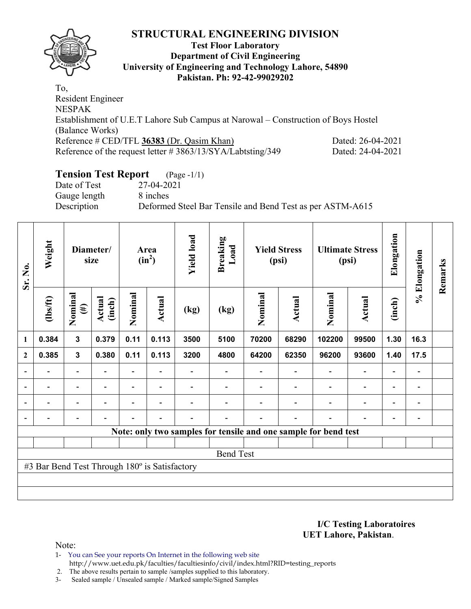

#### **Test Floor Laboratory Department of Civil Engineering University of Engineering and Technology Lahore, 54890 Pakistan. Ph: 92-42-99029202**

To, Resident Engineer NESPAK Establishment of U.E.T Lahore Sub Campus at Narowal – Construction of Boys Hostel (Balance Works) Reference # CED/TFL 36383 (Dr. Qasim Khan) Dated: 26-04-2021 Reference of the request letter # 3863/13/SYA/Labtsting/349 Dated: 24-04-2021

# **Tension Test Report** (Page -1/1)

Date of Test 27-04-2021 Gauge length 8 inches

Description Deformed Steel Bar Tensile and Bend Test as per ASTM-A615

| Sr. No.      | Weight                                        |                          | Diameter/<br>size |                          | Area<br>$(in^2)$         | <b>Yield load</b> | <b>Breaking</b><br>Load |         | <b>Yield Stress</b><br>(psi) |                                                                 | <b>Ultimate Stress</b><br>(psi) | Elongation               | % Elongation                 | Remarks |
|--------------|-----------------------------------------------|--------------------------|-------------------|--------------------------|--------------------------|-------------------|-------------------------|---------|------------------------------|-----------------------------------------------------------------|---------------------------------|--------------------------|------------------------------|---------|
|              | $\frac{2}{10}$                                | Nominal<br>$(\#)$        | Actual<br>(inch)  | Nominal                  | <b>Actual</b>            | (kg)              | (kg)                    | Nominal | Actual                       | Nominal                                                         | <b>Actual</b>                   | (inch)                   |                              |         |
| 1            | 0.384                                         | $\mathbf{3}$             | 0.379             | 0.11                     | 0.113                    | 3500              | 5100                    | 70200   | 68290                        | 102200                                                          | 99500                           | 1.30                     | 16.3                         |         |
| $\mathbf{2}$ | 0.385                                         | $\mathbf{3}$             | 0.380             | 0.11                     | 0.113                    | 3200              | 4800                    | 64200   | 62350                        | 96200                                                           | 93600                           | 1.40                     | 17.5                         |         |
|              |                                               | $\overline{\phantom{0}}$ |                   |                          |                          |                   |                         |         |                              |                                                                 |                                 |                          |                              |         |
|              | $\overline{\phantom{0}}$                      | $\overline{\phantom{a}}$ | $\blacksquare$    | $\overline{\phantom{0}}$ | $\overline{\phantom{a}}$ |                   |                         |         |                              |                                                                 | $\overline{\phantom{a}}$        | $\overline{\phantom{0}}$ | $\qquad \qquad \blacksquare$ |         |
|              |                                               | $\overline{\phantom{0}}$ |                   | $\blacksquare$           |                          |                   |                         |         |                              |                                                                 | $\overline{\phantom{0}}$        | $\overline{\phantom{0}}$ | $\overline{\phantom{0}}$     |         |
|              | $\overline{\phantom{0}}$                      | $\overline{\phantom{0}}$ |                   | -                        | $\overline{\phantom{a}}$ |                   |                         |         |                              |                                                                 | $\blacksquare$                  | $\overline{\phantom{0}}$ | $\qquad \qquad \blacksquare$ |         |
|              |                                               |                          |                   |                          |                          |                   |                         |         |                              | Note: only two samples for tensile and one sample for bend test |                                 |                          |                              |         |
|              |                                               |                          |                   |                          |                          |                   |                         |         |                              |                                                                 |                                 |                          |                              |         |
|              |                                               |                          |                   |                          |                          |                   | <b>Bend Test</b>        |         |                              |                                                                 |                                 |                          |                              |         |
|              | #3 Bar Bend Test Through 180° is Satisfactory |                          |                   |                          |                          |                   |                         |         |                              |                                                                 |                                 |                          |                              |         |
|              |                                               |                          |                   |                          |                          |                   |                         |         |                              |                                                                 |                                 |                          |                              |         |
|              |                                               |                          |                   |                          |                          |                   |                         |         |                              |                                                                 |                                 |                          |                              |         |

**I/C Testing Laboratoires UET Lahore, Pakistan**.

Note:

1- You can See your reports On Internet in the following web site http://www.uet.edu.pk/faculties/facultiesinfo/civil/index.html?RID=testing\_reports

2. The above results pertain to sample /samples supplied to this laboratory.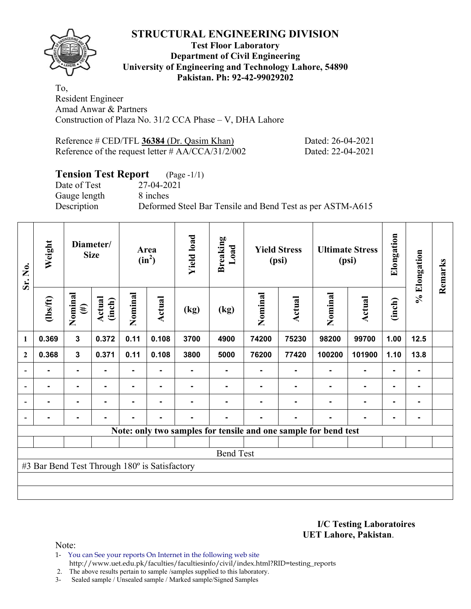

### **Test Floor Laboratory Department of Civil Engineering University of Engineering and Technology Lahore, 54890 Pakistan. Ph: 92-42-99029202**

To, Resident Engineer Amad Anwar & Partners Construction of Plaza No. 31/2 CCA Phase – V, DHA Lahore

| Reference $\#$ CED/TFL 36384 (Dr. Qasim Khan)        | Dated: 26-04-2021 |
|------------------------------------------------------|-------------------|
| Reference of the request letter $\#$ AA/CCA/31/2/002 | Dated: 22-04-2021 |

# **Tension Test Report** (Page -1/1)

Date of Test 27-04-2021 Gauge length 8 inches

Description Deformed Steel Bar Tensile and Bend Test as per ASTM-A615

| Sr. No.        | Weight                                        |                   | Diameter/<br><b>Size</b> |                | Area<br>$(in^2)$ | <b>Yield load</b> | <b>Breaking</b><br>Load |         | <b>Yield Stress</b><br>(psi) |                                                                 | <b>Ultimate Stress</b><br>(psi) | Elongation     | % Elongation | Remarks |
|----------------|-----------------------------------------------|-------------------|--------------------------|----------------|------------------|-------------------|-------------------------|---------|------------------------------|-----------------------------------------------------------------|---------------------------------|----------------|--------------|---------|
|                | (1bs/ft)                                      | Nominal<br>$(\#)$ | Actual<br>(inch)         | Nominal        | Actual           | (kg)              | (kg)                    | Nominal | Actual                       | Nominal                                                         | <b>Actual</b>                   | (inch)         |              |         |
| 1              | 0.369                                         | $\mathbf{3}$      | 0.372                    | 0.11           | 0.108            | 3700              | 4900                    | 74200   | 75230                        | 98200                                                           | 99700                           | 1.00           | 12.5         |         |
| $\overline{2}$ | 0.368                                         | $\mathbf 3$       | 0.371                    | 0.11           | 0.108            | 3800              | 5000                    | 76200   | 77420                        | 100200                                                          | 101900                          | 1.10           | 13.8         |         |
|                |                                               |                   |                          |                |                  |                   |                         |         |                              |                                                                 |                                 |                | ۰            |         |
| $\blacksquare$ |                                               | $\blacksquare$    |                          |                |                  |                   |                         |         |                              |                                                                 |                                 | $\blacksquare$ | ۰            |         |
|                |                                               | $\blacksquare$    |                          |                |                  |                   |                         |         |                              |                                                                 |                                 |                | ۰            |         |
|                |                                               | $\blacksquare$    | $\blacksquare$           | $\blacksquare$ | $\blacksquare$   | ٠                 |                         | -       | ۰                            |                                                                 |                                 | ٠              | ۰            |         |
|                |                                               |                   |                          |                |                  |                   |                         |         |                              | Note: only two samples for tensile and one sample for bend test |                                 |                |              |         |
|                |                                               |                   |                          |                |                  |                   |                         |         |                              |                                                                 |                                 |                |              |         |
|                |                                               |                   |                          |                |                  |                   | <b>Bend Test</b>        |         |                              |                                                                 |                                 |                |              |         |
|                | #3 Bar Bend Test Through 180° is Satisfactory |                   |                          |                |                  |                   |                         |         |                              |                                                                 |                                 |                |              |         |
|                |                                               |                   |                          |                |                  |                   |                         |         |                              |                                                                 |                                 |                |              |         |
|                |                                               |                   |                          |                |                  |                   |                         |         |                              |                                                                 |                                 |                |              |         |

**I/C Testing Laboratoires UET Lahore, Pakistan**.

Note:

1- You can See your reports On Internet in the following web site http://www.uet.edu.pk/faculties/facultiesinfo/civil/index.html?RID=testing\_reports

2. The above results pertain to sample /samples supplied to this laboratory.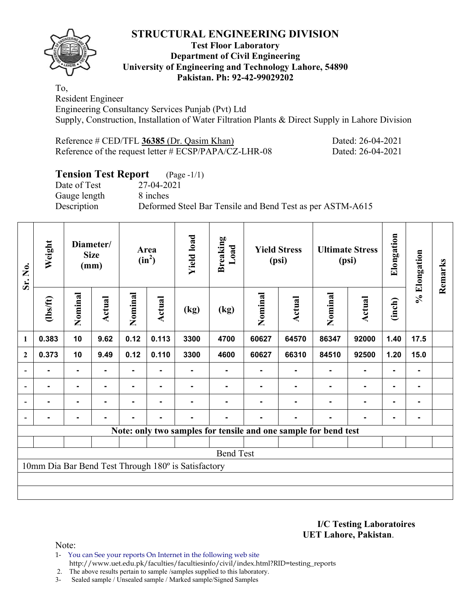### **Test Floor Laboratory Department of Civil Engineering University of Engineering and Technology Lahore, 54890 Pakistan. Ph: 92-42-99029202**

To, Resident Engineer Engineering Consultancy Services Punjab (Pvt) Ltd Supply, Construction, Installation of Water Filtration Plants & Direct Supply in Lahore Division

Reference # CED/TFL **36385** (Dr. Qasim Khan) Dated: 26-04-2021 Reference of the request letter # ECSP/PAPA/CZ-LHR-08 Dated: 26-04-2021

# **Tension Test Report** (Page -1/1)

Date of Test 27-04-2021 Gauge length 8 inches

Description Deformed Steel Bar Tensile and Bend Test as per ASTM-A615

| Sr. No.                  | Weight         |                | Diameter/<br><b>Size</b><br>(mm) |         | Area<br>$(in^2)$ | <b>Yield load</b>                                   | <b>Breaking</b><br>Load |         | <b>Yield Stress</b><br>(psi)                                    |                | <b>Ultimate Stress</b><br>(psi) | Elongation     | % Elongation   | Remarks |
|--------------------------|----------------|----------------|----------------------------------|---------|------------------|-----------------------------------------------------|-------------------------|---------|-----------------------------------------------------------------|----------------|---------------------------------|----------------|----------------|---------|
|                          | (1bs/ft)       | Nominal        | Actual                           | Nominal | Actual           | (kg)                                                | (kg)                    | Nominal | Actual                                                          | Nominal        | Actual                          | (inch)         |                |         |
| $\mathbf{1}$             | 0.383          | 10             | 9.62                             | 0.12    | 0.113            | 3300                                                | 4700                    | 60627   | 64570                                                           | 86347          | 92000                           | 1.40           | 17.5           |         |
| $\boldsymbol{2}$         | 0.373          | 10             | 9.49                             | 0.12    | 0.110            | 3300                                                | 4600                    | 60627   | 66310                                                           | 84510          | 92500                           | 1.20           | 15.0           |         |
| $\overline{\phantom{0}}$ |                | $\blacksquare$ |                                  |         |                  |                                                     |                         |         |                                                                 |                | ۰                               | $\blacksquare$ |                |         |
| $\blacksquare$           | $\blacksquare$ | $\blacksquare$ | $\blacksquare$                   | ٠       |                  |                                                     |                         |         |                                                                 |                | $\blacksquare$                  | $\blacksquare$ |                |         |
|                          | $\blacksquare$ |                | ۰                                | Ξ.      | $\blacksquare$   |                                                     | Ξ.                      |         |                                                                 | $\blacksquare$ | $\blacksquare$                  | $\blacksquare$ | $\blacksquare$ |         |
|                          |                | $\blacksquare$ | $\blacksquare$                   | ٠       | $\blacksquare$   |                                                     |                         |         |                                                                 |                | ٠                               | $\blacksquare$ |                |         |
|                          |                |                |                                  |         |                  |                                                     |                         |         | Note: only two samples for tensile and one sample for bend test |                |                                 |                |                |         |
|                          |                |                |                                  |         |                  |                                                     |                         |         |                                                                 |                |                                 |                |                |         |
|                          |                |                |                                  |         |                  |                                                     | <b>Bend Test</b>        |         |                                                                 |                |                                 |                |                |         |
|                          |                |                |                                  |         |                  | 10mm Dia Bar Bend Test Through 180° is Satisfactory |                         |         |                                                                 |                |                                 |                |                |         |
|                          |                |                |                                  |         |                  |                                                     |                         |         |                                                                 |                |                                 |                |                |         |
|                          |                |                |                                  |         |                  |                                                     |                         |         |                                                                 |                |                                 |                |                |         |

**I/C Testing Laboratoires UET Lahore, Pakistan**.

Note:

1- You can See your reports On Internet in the following web site http://www.uet.edu.pk/faculties/facultiesinfo/civil/index.html?RID=testing\_reports

2. The above results pertain to sample /samples supplied to this laboratory.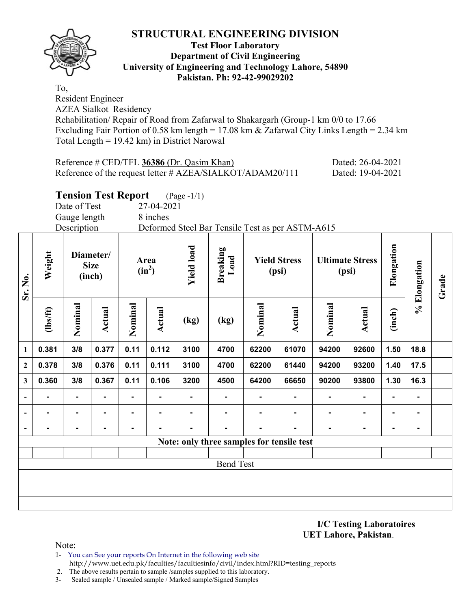

#### **Test Floor Laboratory Department of Civil Engineering University of Engineering and Technology Lahore, 54890 Pakistan. Ph: 92-42-99029202**

To, Resident Engineer

AZEA Sialkot Residency

Rehabilitation/ Repair of Road from Zafarwal to Shakargarh (Group-1 km 0/0 to 17.66 Excluding Fair Portion of 0.58 km length = 17.08 km & Zafarwal City Links Length = 2.34 km Total Length = 19.42 km) in District Narowal

| Reference # CED/TFL 36386 (Dr. Qasim Khan)                   | Dated: 26-04-2021 |
|--------------------------------------------------------------|-------------------|
| Reference of the request letter $\#$ AZEA/SIALKOT/ADAM20/111 | Dated: 19-04-2021 |

# **Tension Test Report** (Page -1/1)

Date of Test 27-04-2021

Gauge length 8 inches

Description Deformed Steel Bar Tensile Test as per ASTM-A615

| Sr. No.                  | Weight   |                | Diameter/<br><b>Size</b><br>(inch) |         | Area<br>$(in^2)$ | <b>Yield load</b> | <b>Breaking</b><br>Load |                | <b>Yield Stress</b><br>(psi)              |                | <b>Ultimate Stress</b><br>(psi) | Elongation | % Elongation   | Grade |
|--------------------------|----------|----------------|------------------------------------|---------|------------------|-------------------|-------------------------|----------------|-------------------------------------------|----------------|---------------------------------|------------|----------------|-------|
|                          | (1bs/ft) | Nominal        | <b>Actual</b>                      | Nominal | <b>Actual</b>    | (kg)              | (kg)                    | Nominal        | <b>Actual</b>                             | Nominal        | <b>Actual</b>                   | (inch)     |                |       |
| 1                        | 0.381    | 3/8            | 0.377                              | 0.11    | 0.112            | 3100              | 4700                    | 62200          | 61070                                     | 94200          | 92600                           | 1.50       | 18.8           |       |
| $\boldsymbol{2}$         | 0.378    | 3/8            | 0.376                              | 0.11    | 0.111            | 3100              | 4700                    | 62200          | 61440                                     | 94200          | 93200                           | 1.40       | 17.5           |       |
| $\mathbf{3}$             | 0.360    | 3/8            | 0.367                              | 0.11    | 0.106            | 3200              | 4500                    | 64200          | 66650                                     | 90200          | 93800                           | 1.30       | 16.3           |       |
| $\overline{\phantom{0}}$ | ۰        | $\blacksquare$ | ۰                                  | ۰.      | -                |                   | $\blacksquare$          |                |                                           | $\blacksquare$ | $\blacksquare$                  | ۰          | ٠              |       |
| $\blacksquare$           | ۰        | $\blacksquare$ | $\blacksquare$                     | ۰       | $\blacksquare$   |                   | $\blacksquare$          | ۰              | $\blacksquare$                            | $\blacksquare$ | $\blacksquare$                  | ۰          | $\blacksquare$ |       |
| $\blacksquare$           | ۰        | $\blacksquare$ | $\blacksquare$                     | ۰       | $\blacksquare$   |                   | $\blacksquare$          | $\blacksquare$ | ٠                                         | $\blacksquare$ | ۰                               | ۰          | ٠              |       |
|                          |          |                |                                    |         |                  |                   |                         |                | Note: only three samples for tensile test |                |                                 |            |                |       |
|                          |          |                |                                    |         |                  |                   |                         |                |                                           |                |                                 |            |                |       |
|                          |          |                |                                    |         |                  |                   | <b>Bend Test</b>        |                |                                           |                |                                 |            |                |       |
|                          |          |                |                                    |         |                  |                   |                         |                |                                           |                |                                 |            |                |       |
|                          |          |                |                                    |         |                  |                   |                         |                |                                           |                |                                 |            |                |       |
|                          |          |                |                                    |         |                  |                   |                         |                |                                           |                |                                 |            |                |       |

**I/C Testing Laboratoires UET Lahore, Pakistan**.

- 1- You can See your reports On Internet in the following web site http://www.uet.edu.pk/faculties/facultiesinfo/civil/index.html?RID=testing\_reports
- 2. The above results pertain to sample /samples supplied to this laboratory.
- 3- Sealed sample / Unsealed sample / Marked sample/Signed Samples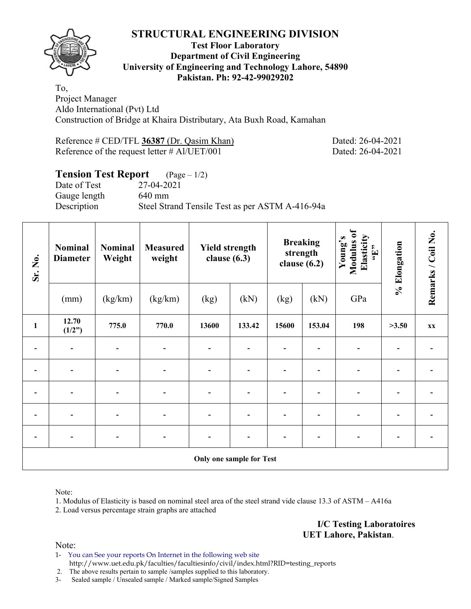

#### **Test Floor Laboratory Department of Civil Engineering University of Engineering and Technology Lahore, 54890 Pakistan. Ph: 92-42-99029202**

To, Project Manager Aldo International (Pvt) Ltd Construction of Bridge at Khaira Distributary, Ata Buxh Road, Kamahan

| Reference # CED/TFL 36387 (Dr. Qasim Khan)      |  |  |
|-------------------------------------------------|--|--|
| Reference of the request letter $\#$ Al/UET/001 |  |  |

Dated: 26-04-2021 Dated: 26-04-2021

# **Tension Test Report** (Page – 1/2)

Date of Test 27-04-2021 Gauge length 640 mm

Description Steel Strand Tensile Test as per ASTM A-416-94a

| Sr. No.                  | <b>Nominal</b><br><b>Diameter</b> | Nominal<br>Weight | <b>Measured</b><br>weight | <b>Yield strength</b><br>clause $(6.3)$ |        | <b>Breaking</b><br>strength<br>clause $(6.2)$ |        | Modulus of<br>Elasticity<br>Young's<br>$\epsilon_{\rm H},$ | % Elongation | Remarks / Coil No. |
|--------------------------|-----------------------------------|-------------------|---------------------------|-----------------------------------------|--------|-----------------------------------------------|--------|------------------------------------------------------------|--------------|--------------------|
|                          | (mm)                              | (kg/km)           | (kg/km)                   | (kg)                                    | (kN)   | (kg)                                          | (kN)   | GPa                                                        |              |                    |
| $\mathbf{1}$             | 12.70<br>(1/2")                   | 775.0             | 770.0                     | 13600                                   | 133.42 | 15600                                         | 153.04 | 198                                                        | >3.50        | XX                 |
|                          |                                   |                   |                           |                                         |        |                                               |        |                                                            |              |                    |
|                          | $\overline{\phantom{a}}$          | $\overline{a}$    |                           | $\overline{\phantom{0}}$                |        |                                               |        |                                                            |              |                    |
| $\overline{\phantom{0}}$ | $\overline{\phantom{a}}$          |                   |                           | $\blacksquare$                          |        |                                               |        |                                                            |              |                    |
|                          | $\overline{\phantom{0}}$          |                   | $\overline{\phantom{0}}$  | $\overline{\phantom{0}}$                |        |                                               |        |                                                            |              |                    |
|                          |                                   |                   |                           |                                         |        |                                               |        |                                                            |              |                    |
| Only one sample for Test |                                   |                   |                           |                                         |        |                                               |        |                                                            |              |                    |

Note:

1. Modulus of Elasticity is based on nominal steel area of the steel strand vide clause 13.3 of ASTM – A416a

2. Load versus percentage strain graphs are attached

**I/C Testing Laboratoires UET Lahore, Pakistan**.

Note:

1- You can See your reports On Internet in the following web site http://www.uet.edu.pk/faculties/facultiesinfo/civil/index.html?RID=testing\_reports

2. The above results pertain to sample /samples supplied to this laboratory.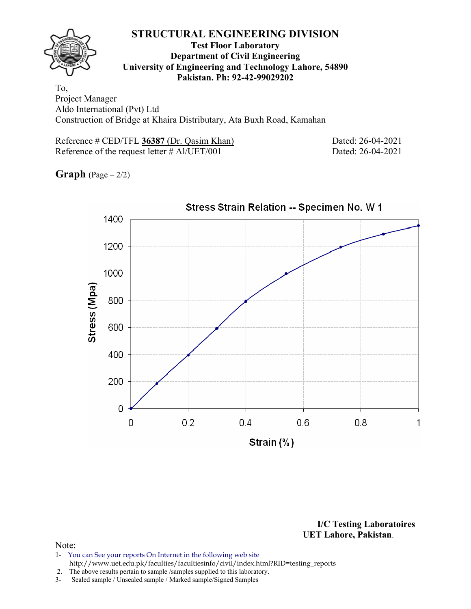

#### **Test Floor Laboratory Department of Civil Engineering University of Engineering and Technology Lahore, 54890 Pakistan. Ph: 92-42-99029202**

To, Project Manager Aldo International (Pvt) Ltd Construction of Bridge at Khaira Distributary, Ata Buxh Road, Kamahan

Reference # CED/TFL 36387 (Dr. Qasim Khan) Dated: 26-04-2021 Reference of the request letter # Al/UET/001 Dated: 26-04-2021

**Graph**  $(Page - 2/2)$ 



**I/C Testing Laboratoires UET Lahore, Pakistan**.

- 1- You can See your reports On Internet in the following web site http://www.uet.edu.pk/faculties/facultiesinfo/civil/index.html?RID=testing\_reports
- 2. The above results pertain to sample /samples supplied to this laboratory.
- 3- Sealed sample / Unsealed sample / Marked sample/Signed Samples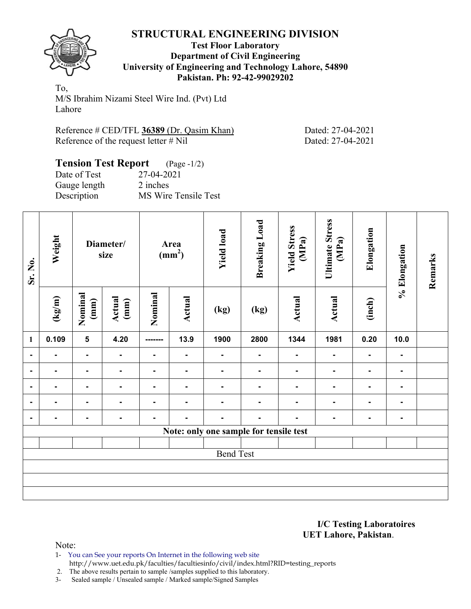

#### **Test Floor Laboratory Department of Civil Engineering University of Engineering and Technology Lahore, 54890 Pakistan. Ph: 92-42-99029202**

To, M/S Ibrahim Nizami Steel Wire Ind. (Pvt) Ltd Lahore

Reference # CED/TFL **36389** (Dr. Qasim Khan) Dated: 27-04-2021 Reference of the request letter # Nil Dated: 27-04-2021

#### **Tension Test Report** (Page -1/2) Date of Test 27-04-2021 Gauge length 2 inches

Description MS Wire Tensile Test

| Sr. No.                                | Weight          | Diameter/<br>size        |                | Area<br>(mm <sup>2</sup> ) |                | <b>Yield load</b> | <b>Breaking Load</b> | <b>Yield Stress</b><br>(MPa) | <b>Ultimate Stress</b><br>(MPa) | Elongation     | % Elongation   | Remarks |
|----------------------------------------|-----------------|--------------------------|----------------|----------------------------|----------------|-------------------|----------------------|------------------------------|---------------------------------|----------------|----------------|---------|
|                                        | $(\text{kg/m})$ | Nominal<br>$(\text{mm})$ | Actual<br>(mm) | Nominal                    | <b>Actual</b>  | (kg)              | (kg)                 | <b>Actual</b>                | <b>Actual</b>                   | (inch)         |                |         |
| $\mathbf{1}$                           | 0.109           | 5                        | 4.20           | -------                    | 13.9           | 1900              | 2800                 | 1344                         | 1981                            | 0.20           | 10.0           |         |
| $\blacksquare$                         | ٠.              | $\blacksquare$           | $\blacksquare$ | $\blacksquare$             | $\blacksquare$ | $\blacksquare$    | $\blacksquare$       | $\blacksquare$               | $\blacksquare$                  | ٠.             | $\blacksquare$ |         |
| $\blacksquare$                         | ۰               | $\blacksquare$           | $\blacksquare$ | $\blacksquare$             | ٠.             | $\blacksquare$    | $\blacksquare$       | $\blacksquare$               | $\blacksquare$                  | $\blacksquare$ | $\blacksquare$ |         |
| $\blacksquare$                         |                 | -                        | $\blacksquare$ | $\blacksquare$             |                | $\blacksquare$    | $\blacksquare$       | $\blacksquare$               | $\blacksquare$                  |                | ۰              |         |
| $\blacksquare$                         |                 | Ξ.                       | $\blacksquare$ | Ξ.                         |                | ۰                 | $\blacksquare$       | $\blacksquare$               | $\blacksquare$                  | $\blacksquare$ | ٠              |         |
|                                        | $\blacksquare$  |                          | $\blacksquare$ | $\blacksquare$             | $\blacksquare$ | $\blacksquare$    | $\blacksquare$       | $\blacksquare$               | $\blacksquare$                  | $\blacksquare$ | ٠              |         |
| Note: only one sample for tensile test |                 |                          |                |                            |                |                   |                      |                              |                                 |                |                |         |
|                                        |                 |                          |                |                            |                |                   |                      |                              |                                 |                |                |         |
| <b>Bend Test</b>                       |                 |                          |                |                            |                |                   |                      |                              |                                 |                |                |         |
|                                        |                 |                          |                |                            |                |                   |                      |                              |                                 |                |                |         |
|                                        |                 |                          |                |                            |                |                   |                      |                              |                                 |                |                |         |
|                                        |                 |                          |                |                            |                |                   |                      |                              |                                 |                |                |         |

**I/C Testing Laboratoires UET Lahore, Pakistan**.

- 1- You can See your reports On Internet in the following web site http://www.uet.edu.pk/faculties/facultiesinfo/civil/index.html?RID=testing\_reports
- 2. The above results pertain to sample /samples supplied to this laboratory.
- 3- Sealed sample / Unsealed sample / Marked sample/Signed Samples